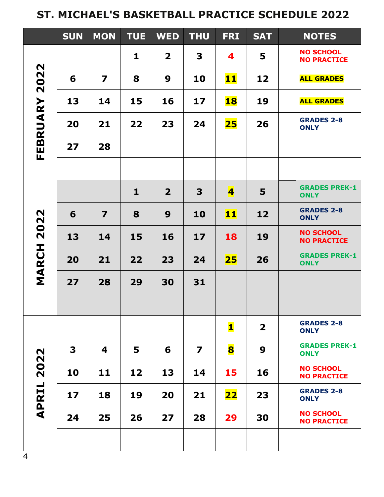## **ST. MICHAEL'S BASKETBALL PRACTICE SCHEDULE 2022**

|                                    | <b>SUN</b> | <b>MON</b>              | <b>TUE</b>   | <b>WED</b>              | <b>THU</b>              | <b>FRI</b>              | <b>SAT</b>   | <b>NOTES</b>                           |
|------------------------------------|------------|-------------------------|--------------|-------------------------|-------------------------|-------------------------|--------------|----------------------------------------|
| 2022<br>FEBRUARY                   |            |                         | 1            | $\overline{\mathbf{2}}$ | 3                       | 4                       | 5            | <b>NO SCHOOL</b><br><b>NO PRACTICE</b> |
|                                    | 6          | $\overline{\mathbf{z}}$ | 8            | 9                       | 10                      | <b>11</b>               | 12           | <b>ALL GRADES</b>                      |
|                                    | 13         | 14                      | 15           | 16                      | 17                      | <b>18</b>               | 19           | <b>ALL GRADES</b>                      |
|                                    | 20         | 21                      | 22           | 23                      | 24                      | <b>25</b>               | 26           | <b>GRADES 2-8</b><br><b>ONLY</b>       |
|                                    | 27         | 28                      |              |                         |                         |                         |              |                                        |
|                                    |            |                         |              |                         |                         |                         |              |                                        |
| 2022<br><b>MARCH</b>               |            |                         | $\mathbf{1}$ | $\overline{\mathbf{2}}$ | 3                       | $\overline{\mathbf{4}}$ | 5            | <b>GRADES PREK-1</b><br><b>ONLY</b>    |
|                                    | 6          | $\overline{\mathbf{z}}$ | 8            | 9                       | 10                      | 11                      | 12           | <b>GRADES 2-8</b><br><b>ONLY</b>       |
|                                    | 13         | 14                      | 15           | 16                      | 17                      | 18                      | 19           | <b>NO SCHOOL</b><br><b>NO PRACTICE</b> |
|                                    | 20         | 21                      | 22           | 23                      | 24                      | 25                      | 26           | <b>GRADES PREK-1</b><br><b>ONLY</b>    |
|                                    | 27         | 28                      | 29           | 30                      | 31                      |                         |              |                                        |
|                                    |            |                         |              |                         |                         |                         |              |                                        |
| $\mathbf N$<br>202<br><b>APRIL</b> |            |                         |              |                         |                         | $\mathbf{1}$            | $\mathbf{2}$ | <b>GRADES 2-8</b><br><b>ONLY</b>       |
|                                    | 3          | 4                       | 5            | 6                       | $\overline{\mathbf{z}}$ | 8                       | 9            | <b>GRADES PREK-1</b><br><b>ONLY</b>    |
|                                    | 10         | 11                      | 12           | 13                      | 14                      | 15                      | 16           | <b>NO SCHOOL</b><br><b>NO PRACTICE</b> |
|                                    | 17         | 18                      | 19           | 20                      | 21                      | <b>22</b>               | 23           | <b>GRADES 2-8</b><br><b>ONLY</b>       |
|                                    | 24         | 25                      | 26           | 27                      | 28                      | 29                      | 30           | <b>NO SCHOOL</b><br><b>NO PRACTICE</b> |
|                                    |            |                         |              |                         |                         |                         |              |                                        |